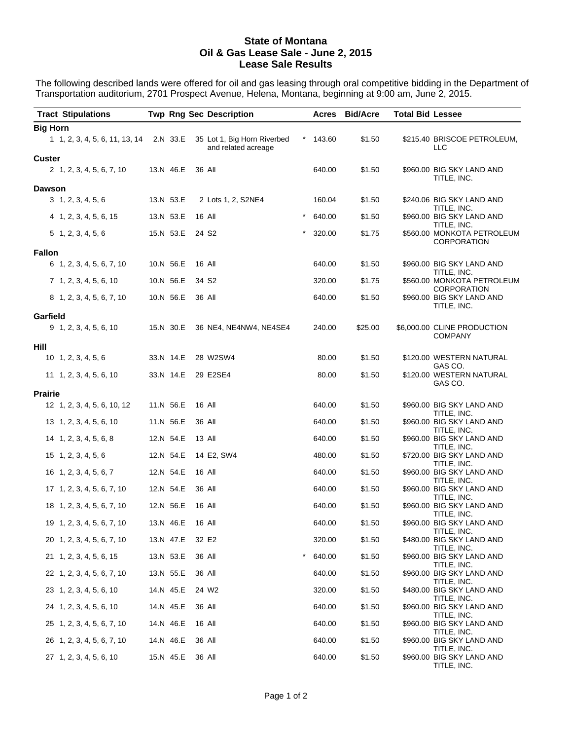#### **State of Montana Oil & Gas Lease Sale - June 2, 2015 Lease Sale Results**

The following described lands were offered for oil and gas leasing through oral competitive bidding in the Department of Transportation auditorium, 2701 Prospect Avenue, Helena, Montana, beginning at 9:00 am, June 2, 2015.

|                 | <b>Tract Stipulations</b>               |                  |                   | <b>Twp Rng Sec Description</b>                     |          |            | <b>Acres Bid/Acre</b> | <b>Total Bid Lessee</b> |                                                          |
|-----------------|-----------------------------------------|------------------|-------------------|----------------------------------------------------|----------|------------|-----------------------|-------------------------|----------------------------------------------------------|
| <b>Big Horn</b> |                                         |                  |                   |                                                    |          |            |                       |                         |                                                          |
|                 | 1 1, 2, 3, 4, 5, 6, 11, 13, 14 2.N 33.E |                  |                   | 35 Lot 1, Big Horn Riverbed<br>and related acreage |          | $*$ 143.60 | \$1.50                |                         | \$215.40 BRISCOE PETROLEUM,<br>LLC                       |
| Custer          | 2 1, 2, 3, 4, 5, 6, 7, 10               | 13.N 46.E        |                   | 36 All                                             |          | 640.00     | \$1.50                |                         | \$960.00 BIG SKY LAND AND<br>TITLE, INC.                 |
| <b>Dawson</b>   |                                         |                  |                   |                                                    |          |            |                       |                         |                                                          |
|                 | 3, 1, 2, 3, 4, 5, 6                     | 13.N 53.E        |                   | 2 Lots 1, 2, S2NE4                                 |          | 160.04     | \$1.50                |                         | \$240.06 BIG SKY LAND AND<br>TITLE, INC.                 |
|                 | 4 1, 2, 3, 4, 5, 6, 15                  | 13.N 53.E        |                   | 16 All                                             |          | 640.00     | \$1.50                |                         | \$960.00 BIG SKY LAND AND                                |
|                 | $5$ 1, 2, 3, 4, 5, 6                    | 15.N 53.E        | 24 S <sub>2</sub> |                                                    |          | 320.00     | \$1.75                |                         | TITLE, INC.<br>\$560.00 MONKOTA PETROLEUM<br>CORPORATION |
| <b>Fallon</b>   |                                         |                  |                   |                                                    |          |            |                       |                         |                                                          |
|                 | 6 1, 2, 3, 4, 5, 6, 7, 10               | 10.N 56.E        |                   | 16 All                                             |          | 640.00     | \$1.50                |                         | \$960.00 BIG SKY LAND AND<br>TITLE, INC.                 |
|                 | $7\quad 1, 2, 3, 4, 5, 6, 10$           | 10.N 56.E        |                   | 34 S <sub>2</sub>                                  |          | 320.00     | \$1.75                |                         | \$560.00 MONKOTA PETROLEUM<br>CORPORATION                |
|                 | 8 1, 2, 3, 4, 5, 6, 7, 10               | 10.N 56.E        |                   | 36 All                                             |          | 640.00     | \$1.50                |                         | \$960.00 BIG SKY LAND AND<br>TITLE, INC.                 |
| Garfield        |                                         |                  |                   |                                                    |          |            |                       |                         |                                                          |
|                 | $9$ 1, 2, 3, 4, 5, 6, 10                | 15.N 30.E        |                   | 36 NE4, NE4NW4, NE4SE4                             |          | 240.00     | \$25.00               |                         | \$6,000.00 CLINE PRODUCTION<br><b>COMPANY</b>            |
| Hill            |                                         |                  |                   |                                                    |          |            |                       |                         |                                                          |
|                 | $10 \quad 1, 2, 3, 4, 5, 6$             | 33.N 14.E        |                   | 28 W2SW4                                           |          | 80.00      | \$1.50                |                         | \$120.00 WESTERN NATURAL<br>GAS CO.                      |
|                 | 11 1, 2, 3, 4, 5, 6, 10                 | 33.N 14.E        |                   | 29 E2SE4                                           |          | 80.00      | \$1.50                |                         | \$120.00 WESTERN NATURAL<br>GAS CO.                      |
| Prairie         |                                         |                  |                   |                                                    |          |            |                       |                         |                                                          |
|                 | 12 1, 2, 3, 4, 5, 6, 10, 12             | 11.N 56.E        |                   | 16 All                                             |          | 640.00     | \$1.50                |                         | \$960.00 BIG SKY LAND AND<br>TITLE, INC.                 |
|                 | 13 1, 2, 3, 4, 5, 6, 10                 | 11.N 56.E        |                   | 36 All                                             |          | 640.00     | \$1.50                |                         | \$960.00 BIG SKY LAND AND<br>TITLE, INC.                 |
|                 | 14 1, 2, 3, 4, 5, 6, 8                  | 12.N 54.E        |                   | 13 All                                             |          | 640.00     | \$1.50                |                         | \$960.00 BIG SKY LAND AND<br>TITLE, INC.                 |
|                 | $15$ 1, 2, 3, 4, 5, 6                   | 12.N 54.E        |                   | 14 E2, SW4                                         |          | 480.00     | \$1.50                |                         | \$720.00 BIG SKY LAND AND<br>TITLE, INC.                 |
|                 | $16 \quad 1, 2, 3, 4, 5, 6, 7$          | 12.N 54.E        |                   | 16 All                                             |          | 640.00     | \$1.50                |                         | \$960.00 BIG SKY LAND AND<br>TITLE, INC.                 |
|                 | 17 1, 2, 3, 4, 5, 6, 7, 10              | 12.N 54.E        |                   | 36 All                                             |          | 640.00     | \$1.50                |                         | \$960.00 BIG SKY LAND AND                                |
|                 | 18 1, 2, 3, 4, 5, 6, 7, 10              | 12.N 56.E        |                   | 16 All                                             |          | 640.00     | \$1.50                |                         | TITLE, INC.<br>\$960.00 BIG SKY LAND AND                 |
|                 | 19 1, 2, 3, 4, 5, 6, 7, 10              | 13.N 46.E 16 All |                   |                                                    |          | 640.00     | \$1.50                |                         | TITLE, INC.<br>\$960.00 BIG SKY LAND AND                 |
|                 | 20 1, 2, 3, 4, 5, 6, 7, 10              | 13.N 47.E        |                   | 32 E2                                              |          | 320.00     | \$1.50                |                         | TITLE, INC.<br>\$480.00 BIG SKY LAND AND                 |
|                 | 21 1, 2, 3, 4, 5, 6, 15                 | 13.N 53.E        |                   | 36 All                                             | $^\star$ | 640.00     | \$1.50                |                         | TITLE, INC.<br>\$960.00 BIG SKY LAND AND                 |
|                 | 22 1, 2, 3, 4, 5, 6, 7, 10              | 13.N 55.E        |                   | 36 All                                             |          | 640.00     | \$1.50                |                         | TITLE, INC.<br>\$960.00 BIG SKY LAND AND                 |
|                 | 23 1, 2, 3, 4, 5, 6, 10                 | 14.N 45.E        |                   | 24 W2                                              |          | 320.00     | \$1.50                |                         | TITLE, INC.<br>\$480.00 BIG SKY LAND AND                 |
|                 |                                         |                  |                   |                                                    |          |            |                       |                         | TITLE, INC.                                              |
|                 | 24 1, 2, 3, 4, 5, 6, 10                 | 14.N 45.E        |                   | 36 All                                             |          | 640.00     | \$1.50                |                         | \$960.00 BIG SKY LAND AND<br>TITLE, INC.                 |
|                 | 25 1, 2, 3, 4, 5, 6, 7, 10              | 14.N 46.E        |                   | 16 All                                             |          | 640.00     | \$1.50                |                         | \$960.00 BIG SKY LAND AND<br>TITLE, INC.                 |
|                 | 26 1, 2, 3, 4, 5, 6, 7, 10              | 14.N 46.E        |                   | 36 All                                             |          | 640.00     | \$1.50                |                         | \$960.00 BIG SKY LAND AND<br>TITLE, INC.                 |
|                 | 27 1, 2, 3, 4, 5, 6, 10                 | 15.N 45.E        |                   | 36 All                                             |          | 640.00     | \$1.50                |                         | \$960.00 BIG SKY LAND AND<br>TITLE, INC.                 |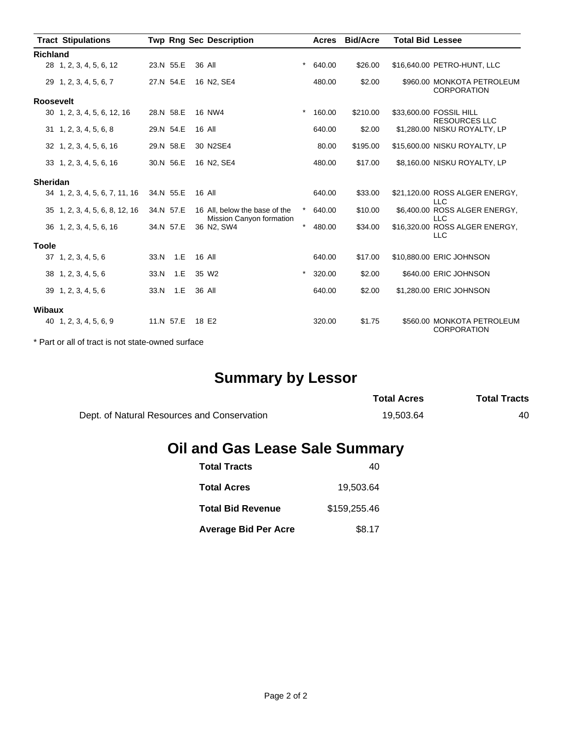|                  | <b>Tract Stipulations</b>      |      |           | <b>Twp Rng Sec Description</b>                            |          | Acres  | <b>Bid/Acre</b> | <b>Total Bid Lessee</b> |                                                  |
|------------------|--------------------------------|------|-----------|-----------------------------------------------------------|----------|--------|-----------------|-------------------------|--------------------------------------------------|
| <b>Richland</b>  |                                |      |           |                                                           |          |        |                 |                         |                                                  |
|                  | 28 1, 2, 3, 4, 5, 6, 12        |      | 23.N 55.E | 36 All                                                    | $\star$  | 640.00 | \$26.00         |                         | \$16,640.00 PETRO-HUNT, LLC                      |
|                  | 29 1, 2, 3, 4, 5, 6, 7         |      | 27.N 54.E | 16 N2, SE4                                                |          | 480.00 | \$2.00          |                         | \$960.00 MONKOTA PETROLEUM<br><b>CORPORATION</b> |
| <b>Roosevelt</b> |                                |      |           |                                                           |          |        |                 |                         |                                                  |
|                  | 30 1, 2, 3, 4, 5, 6, 12, 16    |      | 28.N 58.E | 16 NW4                                                    | $\star$  | 160.00 | \$210.00        |                         | \$33,600.00 FOSSIL HILL<br><b>RESOURCES LLC</b>  |
|                  | $31 \quad 1, 2, 3, 4, 5, 6, 8$ |      | 29.N 54.E | 16 All                                                    |          | 640.00 | \$2.00          |                         | \$1,280.00 NISKU ROYALTY, LP                     |
|                  | 32 1, 2, 3, 4, 5, 6, 16        |      | 29.N 58.E | 30 N2SE4                                                  |          | 80.00  | \$195.00        |                         | \$15,600.00 NISKU ROYALTY, LP                    |
|                  | 33 1, 2, 3, 4, 5, 6, 16        |      | 30.N 56.E | 16 N2, SE4                                                |          | 480.00 | \$17.00         |                         | \$8,160.00 NISKU ROYALTY, LP                     |
| <b>Sheridan</b>  |                                |      |           |                                                           |          |        |                 |                         |                                                  |
|                  | 34 1, 2, 3, 4, 5, 6, 7, 11, 16 |      | 34.N 55.E | 16 All                                                    |          | 640.00 | \$33.00         |                         | \$21,120.00 ROSS ALGER ENERGY,<br><b>LLC</b>     |
|                  | 35 1, 2, 3, 4, 5, 6, 8, 12, 16 |      | 34.N 57.E | 16 All, below the base of the<br>Mission Canyon formation | $^\star$ | 640.00 | \$10.00         |                         | \$6,400.00 ROSS ALGER ENERGY,<br><b>LLC</b>      |
|                  | 36 1, 2, 3, 4, 5, 6, 16        |      | 34.N 57.E | 36 N2, SW4                                                | $\star$  | 480.00 | \$34.00         |                         | \$16,320.00 ROSS ALGER ENERGY,<br><b>LLC</b>     |
| <b>Toole</b>     |                                |      |           |                                                           |          |        |                 |                         |                                                  |
|                  | 37 1, 2, 3, 4, 5, 6            | 33.N | 1.E       | 16 All                                                    |          | 640.00 | \$17.00         |                         | \$10,880.00 ERIC JOHNSON                         |
|                  | 38 1, 2, 3, 4, 5, 6            | 33.N | 1.E       | 35 W <sub>2</sub>                                         | $\star$  | 320.00 | \$2.00          |                         | \$640.00 ERIC JOHNSON                            |
|                  | 39 1, 2, 3, 4, 5, 6            | 33.N | 1.E       | 36 All                                                    |          | 640.00 | \$2.00          |                         | \$1,280.00 ERIC JOHNSON                          |
| <b>Wibaux</b>    |                                |      |           |                                                           |          |        |                 |                         |                                                  |
|                  | 40 1, 2, 3, 4, 5, 6, 9         |      | 11.N 57.E | 18 E2                                                     |          | 320.00 | \$1.75          |                         | \$560.00 MONKOTA PETROLEUM<br><b>CORPORATION</b> |

\* Part or all of tract is not state-owned surface

# **Summary by Lessor**

|                                             | <b>Total Acres</b> | <b>Total Tracts</b> |
|---------------------------------------------|--------------------|---------------------|
| Dept. of Natural Resources and Conservation | 19.503.64          | 40                  |

## **Oil and Gas Lease Sale Summary**

| <b>Total Tracts</b>         | 40           |
|-----------------------------|--------------|
| <b>Total Acres</b>          | 19.503.64    |
| <b>Total Bid Revenue</b>    | \$159,255.46 |
| <b>Average Bid Per Acre</b> | \$8.17       |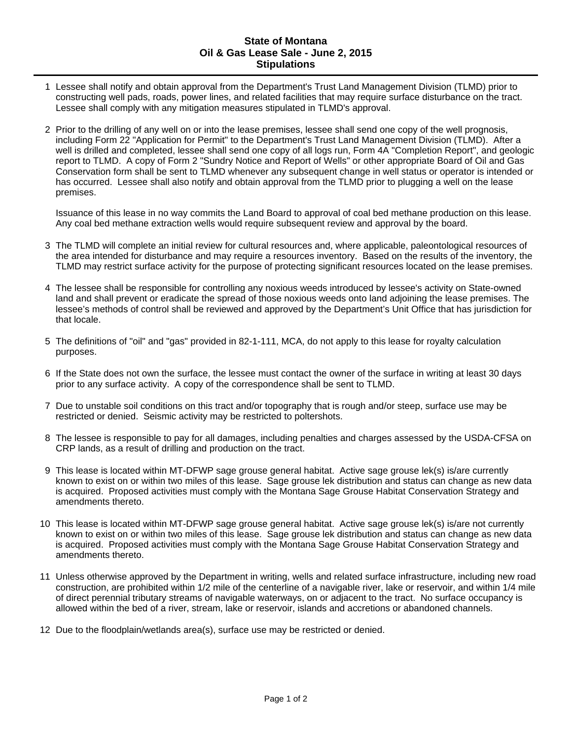#### **State of Montana Oil & Gas Lease Sale - June 2, 2015 Stipulations**

- 1 Lessee shall notify and obtain approval from the Department's Trust Land Management Division (TLMD) prior to constructing well pads, roads, power lines, and related facilities that may require surface disturbance on the tract. Lessee shall comply with any mitigation measures stipulated in TLMD's approval.
- 2 Prior to the drilling of any well on or into the lease premises, lessee shall send one copy of the well prognosis, including Form 22 "Application for Permit" to the Department's Trust Land Management Division (TLMD). After a well is drilled and completed, lessee shall send one copy of all logs run, Form 4A "Completion Report", and geologic report to TLMD. A copy of Form 2 "Sundry Notice and Report of Wells" or other appropriate Board of Oil and Gas Conservation form shall be sent to TLMD whenever any subsequent change in well status or operator is intended or has occurred. Lessee shall also notify and obtain approval from the TLMD prior to plugging a well on the lease premises.

Issuance of this lease in no way commits the Land Board to approval of coal bed methane production on this lease. Any coal bed methane extraction wells would require subsequent review and approval by the board.

- 3 The TLMD will complete an initial review for cultural resources and, where applicable, paleontological resources of the area intended for disturbance and may require a resources inventory. Based on the results of the inventory, the TLMD may restrict surface activity for the purpose of protecting significant resources located on the lease premises.
- 4 The lessee shall be responsible for controlling any noxious weeds introduced by lessee's activity on State-owned land and shall prevent or eradicate the spread of those noxious weeds onto land adjoining the lease premises. The lessee's methods of control shall be reviewed and approved by the Department's Unit Office that has jurisdiction for that locale.
- 5 The definitions of "oil" and "gas" provided in 82-1-111, MCA, do not apply to this lease for royalty calculation purposes.
- 6 If the State does not own the surface, the lessee must contact the owner of the surface in writing at least 30 days prior to any surface activity. A copy of the correspondence shall be sent to TLMD.
- 7 Due to unstable soil conditions on this tract and/or topography that is rough and/or steep, surface use may be restricted or denied. Seismic activity may be restricted to poltershots.
- 8 The lessee is responsible to pay for all damages, including penalties and charges assessed by the USDA-CFSA on CRP lands, as a result of drilling and production on the tract.
- 9 This lease is located within MT-DFWP sage grouse general habitat. Active sage grouse lek(s) is/are currently known to exist on or within two miles of this lease. Sage grouse lek distribution and status can change as new data is acquired. Proposed activities must comply with the Montana Sage Grouse Habitat Conservation Strategy and amendments thereto.
- 10 This lease is located within MT-DFWP sage grouse general habitat. Active sage grouse lek(s) is/are not currently known to exist on or within two miles of this lease. Sage grouse lek distribution and status can change as new data is acquired. Proposed activities must comply with the Montana Sage Grouse Habitat Conservation Strategy and amendments thereto.
- 11 Unless otherwise approved by the Department in writing, wells and related surface infrastructure, including new road construction, are prohibited within 1/2 mile of the centerline of a navigable river, lake or reservoir, and within 1/4 mile of direct perennial tributary streams of navigable waterways, on or adjacent to the tract. No surface occupancy is allowed within the bed of a river, stream, lake or reservoir, islands and accretions or abandoned channels.
- 12 Due to the floodplain/wetlands area(s), surface use may be restricted or denied.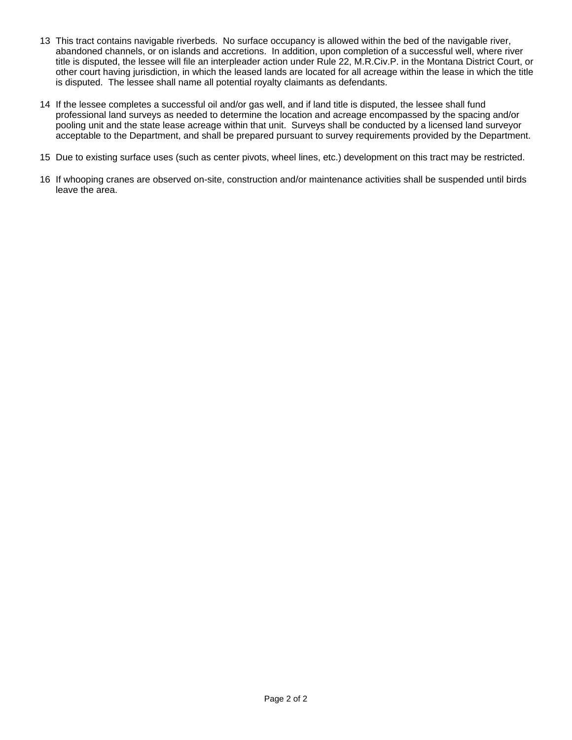- 13 This tract contains navigable riverbeds. No surface occupancy is allowed within the bed of the navigable river, abandoned channels, or on islands and accretions. In addition, upon completion of a successful well, where river title is disputed, the lessee will file an interpleader action under Rule 22, M.R.Civ.P. in the Montana District Court, or other court having jurisdiction, in which the leased lands are located for all acreage within the lease in which the title is disputed. The lessee shall name all potential royalty claimants as defendants.
- 14 If the lessee completes a successful oil and/or gas well, and if land title is disputed, the lessee shall fund professional land surveys as needed to determine the location and acreage encompassed by the spacing and/or pooling unit and the state lease acreage within that unit. Surveys shall be conducted by a licensed land surveyor acceptable to the Department, and shall be prepared pursuant to survey requirements provided by the Department.
- 15 Due to existing surface uses (such as center pivots, wheel lines, etc.) development on this tract may be restricted.
- 16 If whooping cranes are observed on-site, construction and/or maintenance activities shall be suspended until birds leave the area.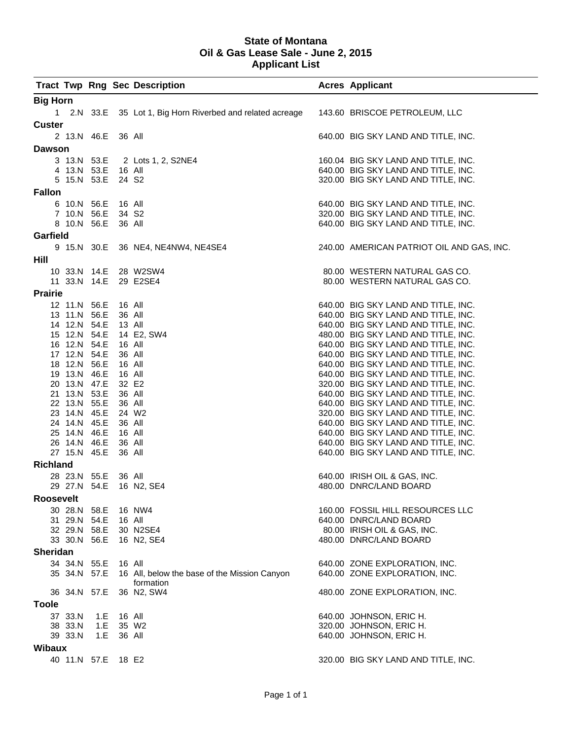#### **State of Montana Oil & Gas Lease Sale - June 2, 2015 Applicant List**

|                 |                              |     |        | <b>Tract Twp Rng Sec Description</b>                       | <b>Acres Applicant</b>                                                     |
|-----------------|------------------------------|-----|--------|------------------------------------------------------------|----------------------------------------------------------------------------|
| <b>Big Horn</b> |                              |     |        |                                                            |                                                                            |
|                 |                              |     |        | 1 2.N 33.E 35 Lot 1, Big Horn Riverbed and related acreage | 143.60 BRISCOE PETROLEUM, LLC                                              |
| <b>Custer</b>   |                              |     |        |                                                            |                                                                            |
|                 | 2 13.N 46.E                  |     | 36 All |                                                            | 640.00 BIG SKY LAND AND TITLE, INC.                                        |
| <b>Dawson</b>   |                              |     |        |                                                            |                                                                            |
|                 |                              |     |        | 3 13.N 53.E 2 Lots 1, 2, S2NE4                             | 160.04 BIG SKY LAND AND TITLE, INC.                                        |
|                 | 4 13.N 53.E 16 All           |     |        |                                                            | 640.00 BIG SKY LAND AND TITLE, INC.                                        |
|                 | 5 15.N 53.E                  |     |        | 24 S <sub>2</sub>                                          | 320.00 BIG SKY LAND AND TITLE, INC.                                        |
| <b>Fallon</b>   |                              |     |        |                                                            |                                                                            |
|                 | 6 10.N 56.E                  |     | 16 All |                                                            | 640.00 BIG SKY LAND AND TITLE, INC.                                        |
|                 | 7 10.N 56.E                  |     | 34 S2  |                                                            | 320.00 BIG SKY LAND AND TITLE, INC.                                        |
|                 | 8 10.N 56.E                  |     | 36 All |                                                            | 640.00 BIG SKY LAND AND TITLE, INC.                                        |
| Garfield        |                              |     |        |                                                            |                                                                            |
|                 |                              |     |        |                                                            |                                                                            |
|                 |                              |     |        | 9 15.N 30.E 36 NE4, NE4NW4, NE4SE4                         | 240.00 AMERICAN PATRIOT OIL AND GAS, INC.                                  |
| Hill            |                              |     |        |                                                            |                                                                            |
|                 |                              |     |        | 10 33.N 14.E 28 W2SW4                                      | 80.00 WESTERN NATURAL GAS CO.                                              |
|                 |                              |     |        | 11 33.N 14.E 29 E2SE4                                      | 80.00 WESTERN NATURAL GAS CO.                                              |
| <b>Prairie</b>  |                              |     |        |                                                            |                                                                            |
|                 | 12 11.N 56.E                 |     | 16 All |                                                            | 640.00 BIG SKY LAND AND TITLE, INC.                                        |
|                 | 13 11.N 56.E                 |     |        | 36 All                                                     | 640.00 BIG SKY LAND AND TITLE, INC.                                        |
|                 | 14 12.N 54.E                 |     | 13 All |                                                            | 640.00 BIG SKY LAND AND TITLE, INC.                                        |
|                 | 15 12.N 54.E                 |     |        | 14 E2, SW4                                                 | 480.00 BIG SKY LAND AND TITLE, INC.                                        |
|                 | 16 12.N 54.E                 |     |        | 16 All                                                     | 640.00 BIG SKY LAND AND TITLE, INC.                                        |
|                 | 17 12.N 54.E                 |     |        | 36 All                                                     | 640.00 BIG SKY LAND AND TITLE, INC.                                        |
|                 | 18 12.N 56.E                 |     |        | 16 All                                                     | 640.00 BIG SKY LAND AND TITLE, INC.                                        |
|                 | 19 13.N 46.E                 |     |        | 16 All                                                     | 640.00 BIG SKY LAND AND TITLE, INC.                                        |
|                 | 20 13.N 47.E                 |     |        | 32 E2                                                      | 320.00 BIG SKY LAND AND TITLE, INC.                                        |
|                 | 21 13.N 53.E                 |     |        | 36 All                                                     | 640.00 BIG SKY LAND AND TITLE, INC.                                        |
|                 | 22 13.N 55.E                 |     |        | 36 All                                                     | 640.00 BIG SKY LAND AND TITLE, INC.                                        |
|                 | 23 14.N 45.E                 |     |        | 24 W <sub>2</sub>                                          | 320.00 BIG SKY LAND AND TITLE, INC.                                        |
|                 | 24 14.N 45.E<br>25 14.N 46.E |     |        | 36 All<br>16 All                                           | 640.00 BIG SKY LAND AND TITLE, INC.<br>640.00 BIG SKY LAND AND TITLE, INC. |
|                 | 26 14.N 46.E                 |     |        | 36 All                                                     | 640.00 BIG SKY LAND AND TITLE, INC.                                        |
|                 | 27 15.N 45.E                 |     |        | 36 All                                                     | 640.00 BIG SKY LAND AND TITLE, INC.                                        |
| <b>Richland</b> |                              |     |        |                                                            |                                                                            |
|                 |                              |     |        |                                                            |                                                                            |
|                 | 28 23.N 55.E 36 All          |     |        | 29 27.N 54.E 16 N2, SE4                                    | 640.00 IRISH OIL & GAS, INC.<br>480.00 DNRC/LAND BOARD                     |
|                 |                              |     |        |                                                            |                                                                            |
| Roosevelt       |                              |     |        |                                                            |                                                                            |
|                 | 30 28.N 58.E                 |     |        | 16 NW4                                                     | 160.00 FOSSIL HILL RESOURCES LLC                                           |
|                 | 31 29.N 54.E                 |     | 16 All |                                                            | 640.00 DNRC/LAND BOARD                                                     |
|                 | 32 29.N 58.E                 |     |        | 30 N2SE4                                                   | 80.00 IRISH OIL & GAS, INC.                                                |
|                 | 33 30.N 56.E                 |     |        | 16 N2, SE4                                                 | 480.00 DNRC/LAND BOARD                                                     |
| <b>Sheridan</b> |                              |     |        |                                                            |                                                                            |
|                 | 34 34.N 55.E                 |     |        | 16 All                                                     | 640.00 ZONE EXPLORATION, INC.                                              |
|                 | 35 34.N 57.E                 |     |        | 16 All, below the base of the Mission Canyon               | 640.00 ZONE EXPLORATION, INC.                                              |
|                 |                              |     |        | formation                                                  |                                                                            |
|                 | 36 34.N 57.E                 |     |        | 36 N2, SW4                                                 | 480.00 ZONE EXPLORATION, INC.                                              |
| <b>Toole</b>    |                              |     |        |                                                            |                                                                            |
|                 | 37 33.N                      | 1.E | 16 All |                                                            | 640.00 JOHNSON, ERIC H.                                                    |
|                 | 38 33.N                      | 1.E |        | 35 W <sub>2</sub>                                          | 320.00 JOHNSON, ERIC H.                                                    |
|                 | 39 33.N                      | 1.E |        | 36 All                                                     | 640.00 JOHNSON, ERIC H.                                                    |
| <b>Wibaux</b>   |                              |     |        |                                                            |                                                                            |
|                 | 40 11.N 57.E                 |     |        | 18 E2                                                      | 320.00 BIG SKY LAND AND TITLE, INC.                                        |
|                 |                              |     |        |                                                            |                                                                            |